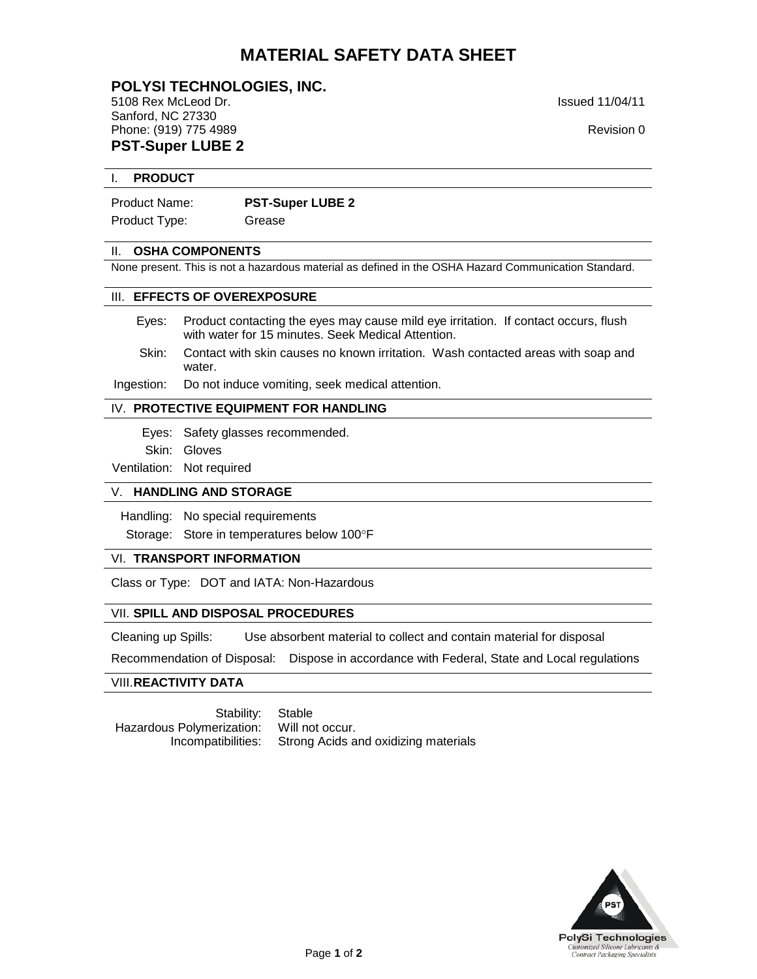# **MATERIAL SAFETY DATA SHEET**

**POLYSI TECHNOLOGIES, INC.** 5108 Rex McLeod Dr. Issued 11/04/11 Sanford, NC 27330 Phone: (919) 775 4989 **Revision 0 Revision 0 Revision 0 Revision 0 PST-Super LUBE 2**

#### I. **PRODUCT**

| <b>PST-Super LUBE 2</b> |
|-------------------------|
|                         |

Product Type: Grease

#### II. **OSHA COMPONENTS**

None present. This is not a hazardous material as defined in the OSHA Hazard Communication Standard.

#### III. **EFFECTS OF OVEREXPOSURE**

- Eyes: Product contacting the eyes may cause mild eye irritation. If contact occurs, flush with water for 15 minutes. Seek Medical Attention.
- Skin: Contact with skin causes no known irritation. Wash contacted areas with soap and water.

Ingestion: Do not induce vomiting, seek medical attention.

#### IV. **PROTECTIVE EQUIPMENT FOR HANDLING**

- Eyes: Safety glasses recommended.
- Skin: Gloves

Ventilation: Not required

#### V. **HANDLING AND STORAGE**

Handling: No special requirements

Storage: Store in temperatures below 100°F

### VI. **TRANSPORT INFORMATION**

Class or Type: DOT and IATA: Non-Hazardous

### VII. **SPILL AND DISPOSAL PROCEDURES**

Cleaning up Spills: Use absorbent material to collect and contain material for disposal

Recommendation of Disposal: Dispose in accordance with Federal, State and Local regulations

#### VIII.**REACTIVITY DATA**

Stability: Stable Hazardous Polymerization: Will not occur.<br>Incompatibilities: Strong Acids a

Strong Acids and oxidizing materials